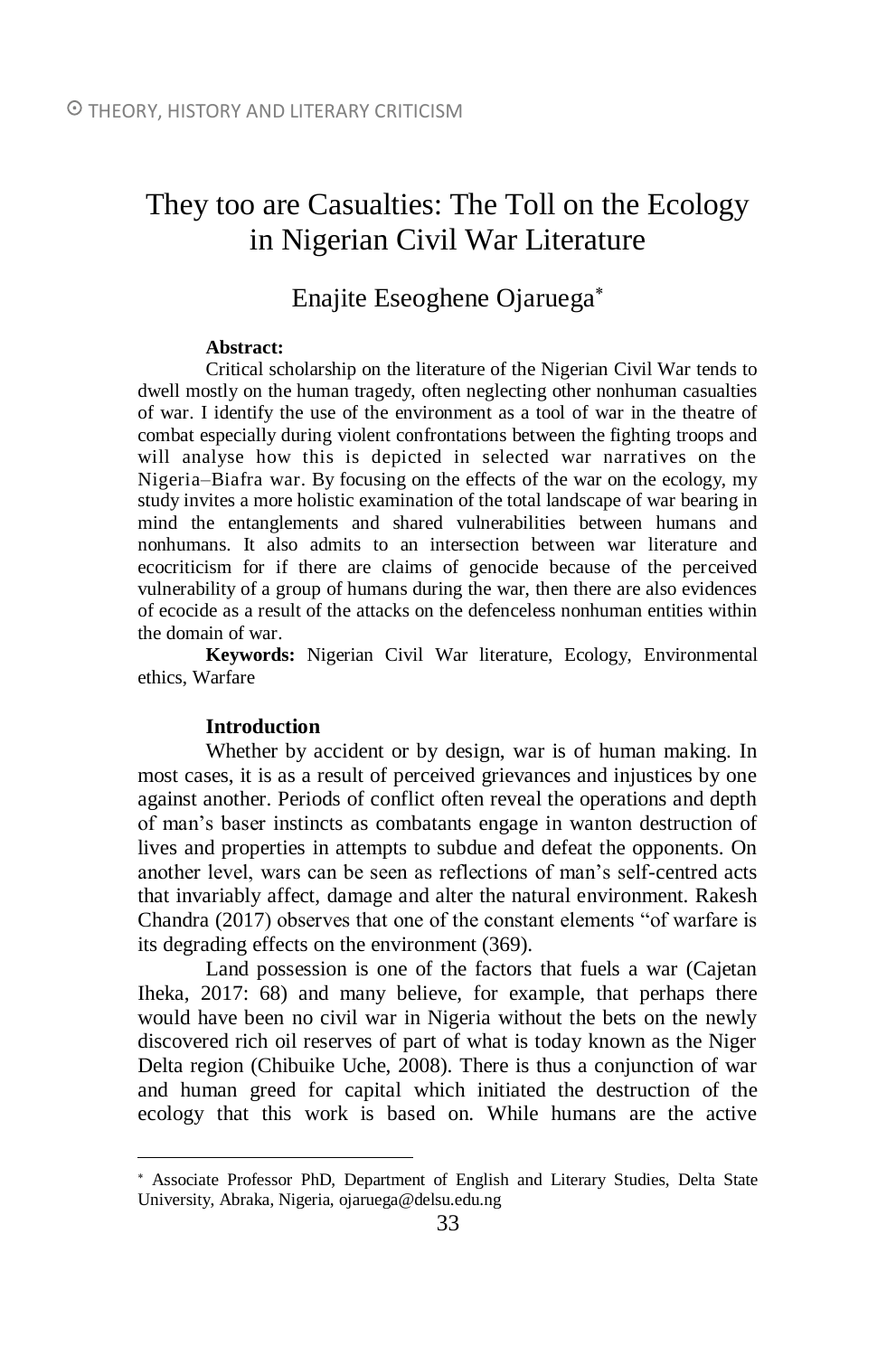# They too are Casualties: The Toll on the Ecology in Nigerian Civil War Literature

## Enajite Eseoghene Ojaruega

### **Abstract:**

Critical scholarship on the literature of the Nigerian Civil War tends to dwell mostly on the human tragedy, often neglecting other nonhuman casualties of war. I identify the use of the environment as a tool of war in the theatre of combat especially during violent confrontations between the fighting troops and will analyse how this is depicted in selected war narratives on the Nigeria–Biafra war. By focusing on the effects of the war on the ecology, my study invites a more holistic examination of the total landscape of war bearing in mind the entanglements and shared vulnerabilities between humans and nonhumans. It also admits to an intersection between war literature and ecocriticism for if there are claims of genocide because of the perceived vulnerability of a group of humans during the war, then there are also evidences of ecocide as a result of the attacks on the defenceless nonhuman entities within the domain of war.

**Keywords:** Nigerian Civil War literature, Ecology, Environmental ethics, Warfare

### **Introduction**

 $\overline{a}$ 

Whether by accident or by design, war is of human making. In most cases, it is as a result of perceived grievances and injustices by one against another. Periods of conflict often reveal the operations and depth of man's baser instincts as combatants engage in wanton destruction of lives and properties in attempts to subdue and defeat the opponents. On another level, wars can be seen as reflections of man's self-centred acts that invariably affect, damage and alter the natural environment. Rakesh Chandra (2017) observes that one of the constant elements "of warfare is its degrading effects on the environment (369).

Land possession is one of the factors that fuels a war (Cajetan Iheka, 2017: 68) and many believe, for example, that perhaps there would have been no civil war in Nigeria without the bets on the newly discovered rich oil reserves of part of what is today known as the Niger Delta region (Chibuike Uche, 2008). There is thus a conjunction of war and human greed for capital which initiated the destruction of the ecology that this work is based on. While humans are the active

Associate Professor PhD, Department of English and Literary Studies, Delta State University, Abraka, Nigeria, [ojaruega@delsu.edu.ng](mailto:ojaruega@delsu.edu.ng)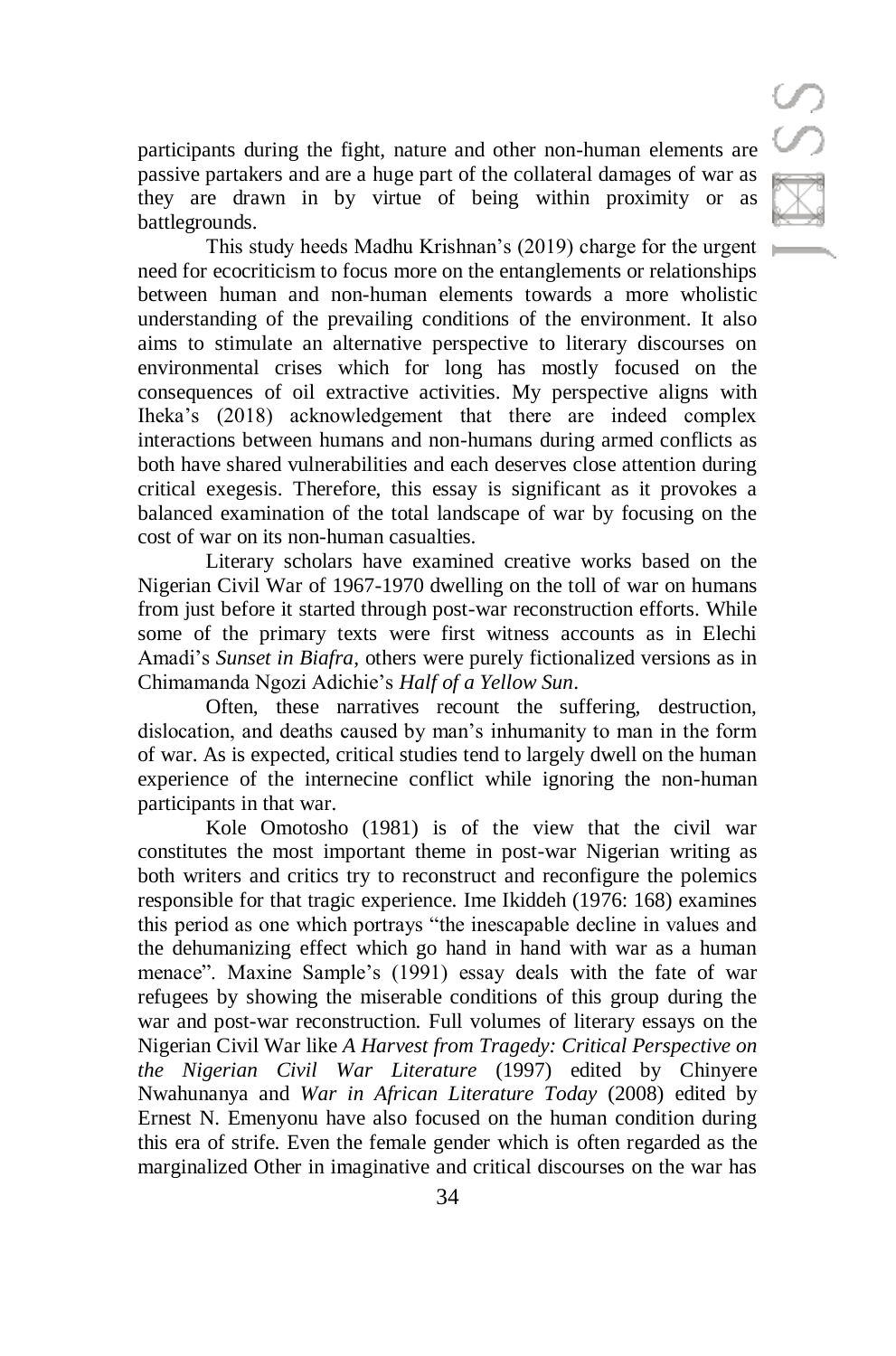participants during the fight, nature and other non-human elements are passive partakers and are a huge part of the collateral damages of war as they are drawn in by virtue of being within proximity or as battlegrounds.

This study heeds Madhu Krishnan's (2019) charge for the urgent need for ecocriticism to focus more on the entanglements or relationships between human and non-human elements towards a more wholistic understanding of the prevailing conditions of the environment. It also aims to stimulate an alternative perspective to literary discourses on environmental crises which for long has mostly focused on the consequences of oil extractive activities. My perspective aligns with Iheka's (2018) acknowledgement that there are indeed complex interactions between humans and non-humans during armed conflicts as both have shared vulnerabilities and each deserves close attention during critical exegesis. Therefore, this essay is significant as it provokes a balanced examination of the total landscape of war by focusing on the cost of war on its non-human casualties.

Literary scholars have examined creative works based on the Nigerian Civil War of 1967-1970 dwelling on the toll of war on humans from just before it started through post-war reconstruction efforts. While some of the primary texts were first witness accounts as in Elechi Amadi's *Sunset in Biafra*, others were purely fictionalized versions as in Chimamanda Ngozi Adichie's *Half of a Yellow Sun*.

Often, these narratives recount the suffering, destruction, dislocation, and deaths caused by man's inhumanity to man in the form of war. As is expected, critical studies tend to largely dwell on the human experience of the internecine conflict while ignoring the non-human participants in that war.

Kole Omotosho (1981) is of the view that the civil war constitutes the most important theme in post-war Nigerian writing as both writers and critics try to reconstruct and reconfigure the polemics responsible for that tragic experience. Ime Ikiddeh (1976: 168) examines this period as one which portrays "the inescapable decline in values and the dehumanizing effect which go hand in hand with war as a human menace". Maxine Sample's (1991) essay deals with the fate of war refugees by showing the miserable conditions of this group during the war and post-war reconstruction. Full volumes of literary essays on the Nigerian Civil War like *A Harvest from Tragedy: Critical Perspective on the Nigerian Civil War Literature* (1997) edited by Chinyere Nwahunanya and *War in African Literature Today* (2008) edited by Ernest N. Emenyonu have also focused on the human condition during this era of strife. Even the female gender which is often regarded as the marginalized Other in imaginative and critical discourses on the war has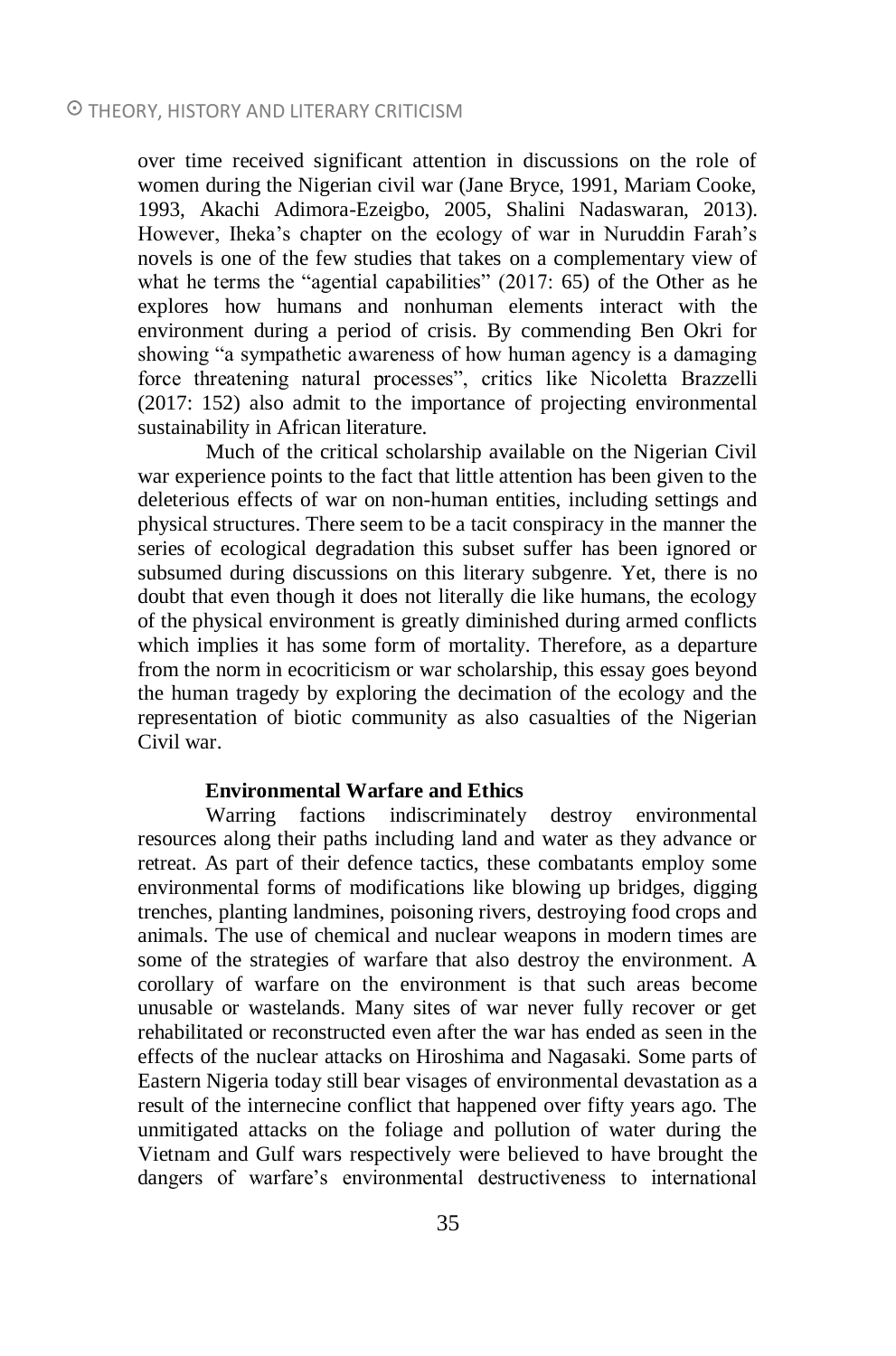over time received significant attention in discussions on the role of women during the Nigerian civil war (Jane Bryce, 1991, Mariam Cooke, 1993, Akachi Adimora-Ezeigbo, 2005, Shalini Nadaswaran, 2013). However, Iheka's chapter on the ecology of war in Nuruddin Farah's novels is one of the few studies that takes on a complementary view of what he terms the "agential capabilities" (2017: 65) of the Other as he explores how humans and nonhuman elements interact with the environment during a period of crisis. By commending Ben Okri for showing "a sympathetic awareness of how human agency is a damaging force threatening natural processes", critics like Nicoletta Brazzelli (2017: 152) also admit to the importance of projecting environmental sustainability in African literature.

Much of the critical scholarship available on the Nigerian Civil war experience points to the fact that little attention has been given to the deleterious effects of war on non-human entities, including settings and physical structures. There seem to be a tacit conspiracy in the manner the series of ecological degradation this subset suffer has been ignored or subsumed during discussions on this literary subgenre. Yet, there is no doubt that even though it does not literally die like humans, the ecology of the physical environment is greatly diminished during armed conflicts which implies it has some form of mortality. Therefore, as a departure from the norm in ecocriticism or war scholarship, this essay goes beyond the human tragedy by exploring the decimation of the ecology and the representation of biotic community as also casualties of the Nigerian Civil war.

### **Environmental Warfare and Ethics**

Warring factions indiscriminately destroy environmental resources along their paths including land and water as they advance or retreat. As part of their defence tactics, these combatants employ some environmental forms of modifications like blowing up bridges, digging trenches, planting landmines, poisoning rivers, destroying food crops and animals. The use of chemical and nuclear weapons in modern times are some of the strategies of warfare that also destroy the environment. A corollary of warfare on the environment is that such areas become unusable or wastelands. Many sites of war never fully recover or get rehabilitated or reconstructed even after the war has ended as seen in the effects of the nuclear attacks on Hiroshima and Nagasaki. Some parts of Eastern Nigeria today still bear visages of environmental devastation as a result of the internecine conflict that happened over fifty years ago. The unmitigated attacks on the foliage and pollution of water during the Vietnam and Gulf wars respectively were believed to have brought the dangers of warfare's environmental destructiveness to international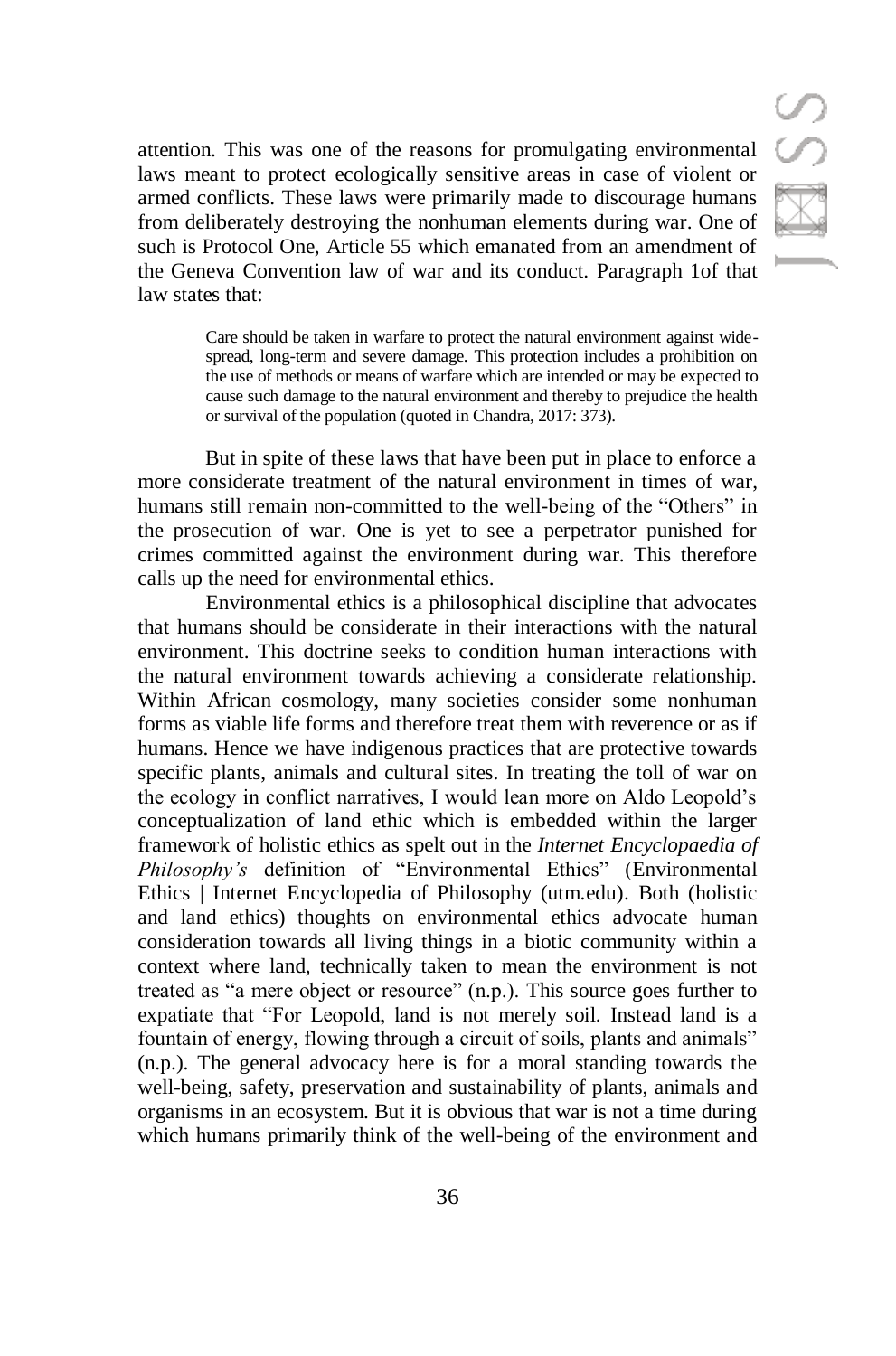attention. This was one of the reasons for promulgating environmental laws meant to protect ecologically sensitive areas in case of violent or armed conflicts. These laws were primarily made to discourage humans from deliberately destroying the nonhuman elements during war. One of such is Protocol One, Article 55 which emanated from an amendment of the Geneva Convention law of war and its conduct. Paragraph 1of that law states that:

> Care should be taken in warfare to protect the natural environment against widespread, long-term and severe damage. This protection includes a prohibition on the use of methods or means of warfare which are intended or may be expected to cause such damage to the natural environment and thereby to prejudice the health or survival of the population (quoted in Chandra, 2017: 373).

But in spite of these laws that have been put in place to enforce a more considerate treatment of the natural environment in times of war, humans still remain non-committed to the well-being of the "Others" in the prosecution of war. One is yet to see a perpetrator punished for crimes committed against the environment during war. This therefore calls up the need for environmental ethics.

Environmental ethics is a philosophical discipline that advocates that humans should be considerate in their interactions with the natural environment. This doctrine seeks to condition human interactions with the natural environment towards achieving a considerate relationship. Within African cosmology, many societies consider some nonhuman forms as viable life forms and therefore treat them with reverence or as if humans. Hence we have indigenous practices that are protective towards specific plants, animals and cultural sites. In treating the toll of war on the ecology in conflict narratives, I would lean more on Aldo Leopold's conceptualization of land ethic which is embedded within the larger framework of holistic ethics as spelt out in the *Internet Encyclopaedia of Philosophy's* definition of "Environmental Ethics" [\(Environmental](https://iep.utm.edu/envi-eth/)  [Ethics | Internet Encyclopedia of Philosophy \(utm.edu\).](https://iep.utm.edu/envi-eth/) Both (holistic and land ethics) thoughts on environmental ethics advocate human consideration towards all living things in a biotic community within a context where land, technically taken to mean the environment is not treated as "a mere object or resource" (n.p.). This source goes further to expatiate that "For Leopold, land is not merely soil. Instead land is a fountain of energy, flowing through a circuit of soils, plants and animals" (n.p.). The general advocacy here is for a moral standing towards the well-being, safety, preservation and sustainability of plants, animals and organisms in an ecosystem. But it is obvious that war is not a time during which humans primarily think of the well-being of the environment and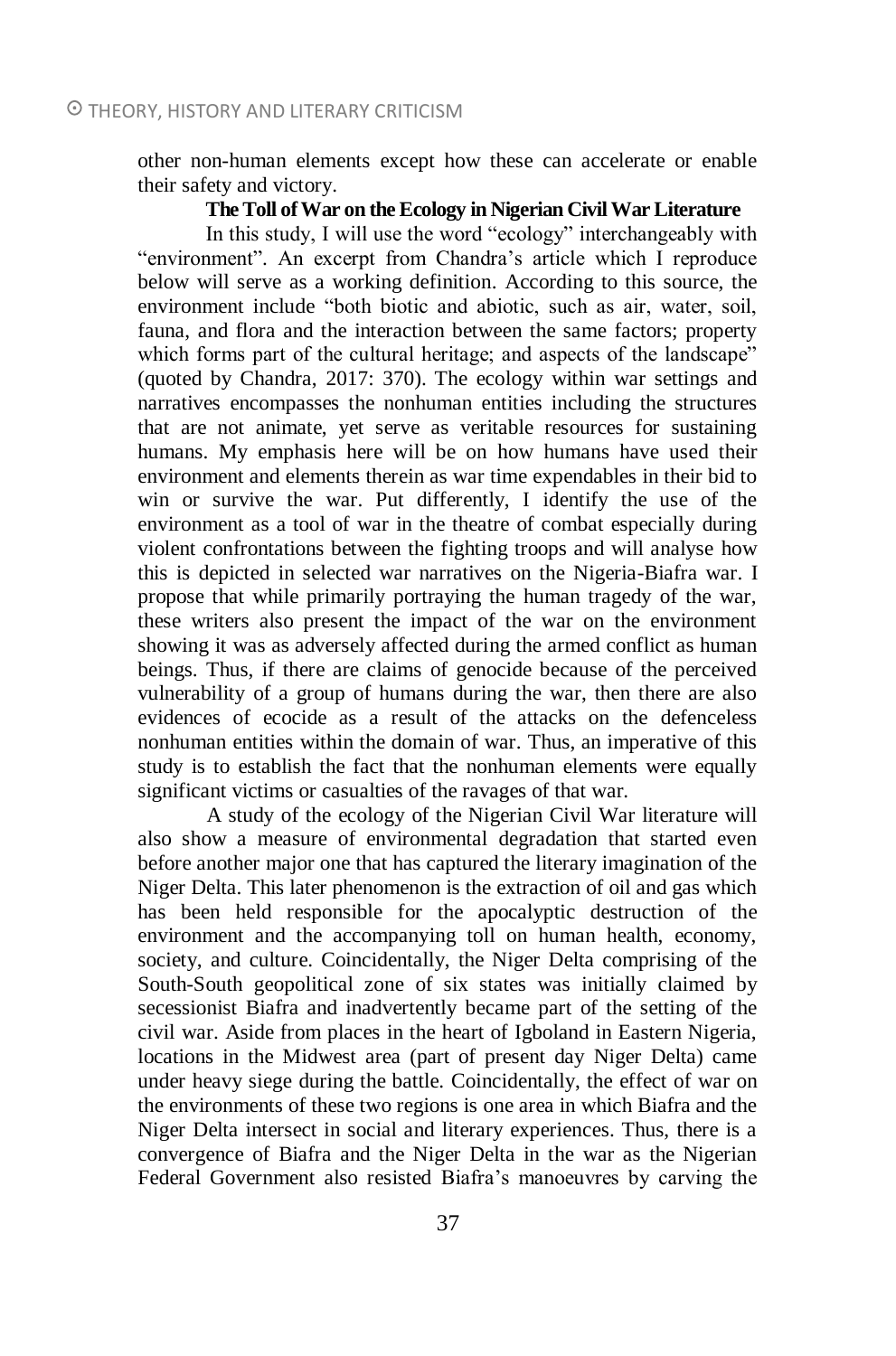other non-human elements except how these can accelerate or enable their safety and victory.

### **The Toll of War on the Ecology in Nigerian Civil War Literature**

In this study, I will use the word "ecology" interchangeably with "environment". An excerpt from Chandra's article which I reproduce below will serve as a working definition. According to this source, the environment include "both biotic and abiotic, such as air, water, soil, fauna, and flora and the interaction between the same factors; property which forms part of the cultural heritage; and aspects of the landscape" (quoted by Chandra, 2017: 370). The ecology within war settings and narratives encompasses the nonhuman entities including the structures that are not animate, yet serve as veritable resources for sustaining humans. My emphasis here will be on how humans have used their environment and elements therein as war time expendables in their bid to win or survive the war. Put differently, I identify the use of the environment as a tool of war in the theatre of combat especially during violent confrontations between the fighting troops and will analyse how this is depicted in selected war narratives on the Nigeria-Biafra war. I propose that while primarily portraying the human tragedy of the war, these writers also present the impact of the war on the environment showing it was as adversely affected during the armed conflict as human beings. Thus, if there are claims of genocide because of the perceived vulnerability of a group of humans during the war, then there are also evidences of ecocide as a result of the attacks on the defenceless nonhuman entities within the domain of war. Thus, an imperative of this study is to establish the fact that the nonhuman elements were equally significant victims or casualties of the ravages of that war.

A study of the ecology of the Nigerian Civil War literature will also show a measure of environmental degradation that started even before another major one that has captured the literary imagination of the Niger Delta. This later phenomenon is the extraction of oil and gas which has been held responsible for the apocalyptic destruction of the environment and the accompanying toll on human health, economy, society, and culture. Coincidentally, the Niger Delta comprising of the South-South geopolitical zone of six states was initially claimed by secessionist Biafra and inadvertently became part of the setting of the civil war. Aside from places in the heart of Igboland in Eastern Nigeria, locations in the Midwest area (part of present day Niger Delta) came under heavy siege during the battle. Coincidentally, the effect of war on the environments of these two regions is one area in which Biafra and the Niger Delta intersect in social and literary experiences. Thus, there is a convergence of Biafra and the Niger Delta in the war as the Nigerian Federal Government also resisted Biafra's manoeuvres by carving the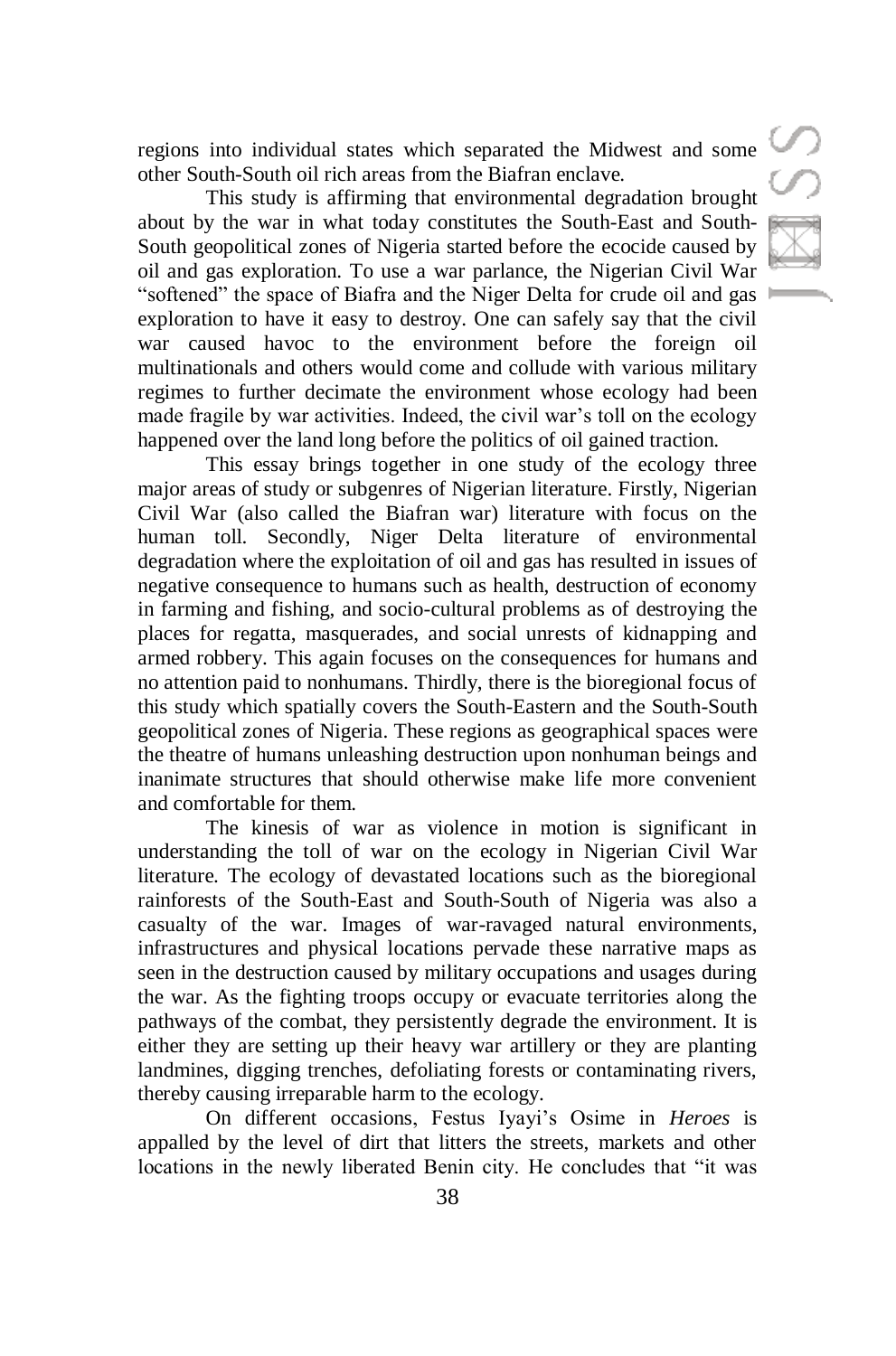regions into individual states which separated the Midwest and some other South-South oil rich areas from the Biafran enclave.

This study is affirming that environmental degradation brought about by the war in what today constitutes the South-East and South-South geopolitical zones of Nigeria started before the ecocide caused by oil and gas exploration. To use a war parlance, the Nigerian Civil War "softened" the space of Biafra and the Niger Delta for crude oil and gas exploration to have it easy to destroy. One can safely say that the civil war caused havoc to the environment before the foreign oil multinationals and others would come and collude with various military regimes to further decimate the environment whose ecology had been made fragile by war activities. Indeed, the civil war's toll on the ecology happened over the land long before the politics of oil gained traction.

This essay brings together in one study of the ecology three major areas of study or subgenres of Nigerian literature. Firstly, Nigerian Civil War (also called the Biafran war) literature with focus on the human toll. Secondly, Niger Delta literature of environmental degradation where the exploitation of oil and gas has resulted in issues of negative consequence to humans such as health, destruction of economy in farming and fishing, and socio-cultural problems as of destroying the places for regatta, masquerades, and social unrests of kidnapping and armed robbery. This again focuses on the consequences for humans and no attention paid to nonhumans. Thirdly, there is the bioregional focus of this study which spatially covers the South-Eastern and the South-South geopolitical zones of Nigeria. These regions as geographical spaces were the theatre of humans unleashing destruction upon nonhuman beings and inanimate structures that should otherwise make life more convenient and comfortable for them.

The kinesis of war as violence in motion is significant in understanding the toll of war on the ecology in Nigerian Civil War literature. The ecology of devastated locations such as the bioregional rainforests of the South-East and South-South of Nigeria was also a casualty of the war. Images of war-ravaged natural environments, infrastructures and physical locations pervade these narrative maps as seen in the destruction caused by military occupations and usages during the war. As the fighting troops occupy or evacuate territories along the pathways of the combat, they persistently degrade the environment. It is either they are setting up their heavy war artillery or they are planting landmines, digging trenches, defoliating forests or contaminating rivers, thereby causing irreparable harm to the ecology.

On different occasions, Festus Iyayi's Osime in *Heroes* is appalled by the level of dirt that litters the streets, markets and other locations in the newly liberated Benin city. He concludes that "it was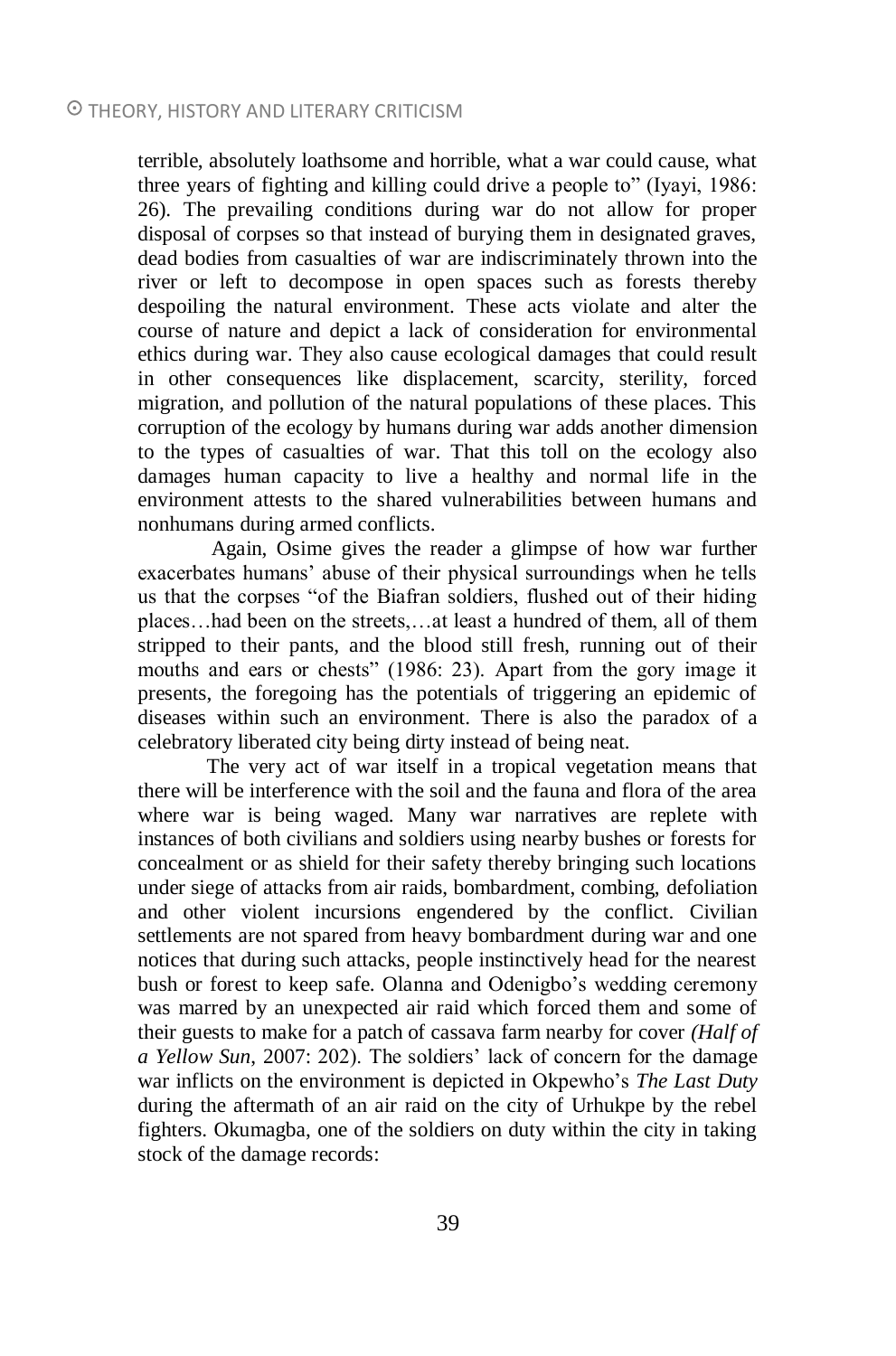terrible, absolutely loathsome and horrible, what a war could cause, what three years of fighting and killing could drive a people to" (Iyayi, 1986: 26). The prevailing conditions during war do not allow for proper disposal of corpses so that instead of burying them in designated graves, dead bodies from casualties of war are indiscriminately thrown into the river or left to decompose in open spaces such as forests thereby despoiling the natural environment. These acts violate and alter the course of nature and depict a lack of consideration for environmental ethics during war. They also cause ecological damages that could result in other consequences like displacement, scarcity, sterility, forced migration, and pollution of the natural populations of these places. This corruption of the ecology by humans during war adds another dimension to the types of casualties of war. That this toll on the ecology also damages human capacity to live a healthy and normal life in the environment attests to the shared vulnerabilities between humans and nonhumans during armed conflicts.

Again, Osime gives the reader a glimpse of how war further exacerbates humans' abuse of their physical surroundings when he tells us that the corpses "of the Biafran soldiers, flushed out of their hiding places…had been on the streets,…at least a hundred of them, all of them stripped to their pants, and the blood still fresh, running out of their mouths and ears or chests" (1986: 23). Apart from the gory image it presents, the foregoing has the potentials of triggering an epidemic of diseases within such an environment. There is also the paradox of a celebratory liberated city being dirty instead of being neat.

The very act of war itself in a tropical vegetation means that there will be interference with the soil and the fauna and flora of the area where war is being waged. Many war narratives are replete with instances of both civilians and soldiers using nearby bushes or forests for concealment or as shield for their safety thereby bringing such locations under siege of attacks from air raids, bombardment, combing, defoliation and other violent incursions engendered by the conflict. Civilian settlements are not spared from heavy bombardment during war and one notices that during such attacks, people instinctively head for the nearest bush or forest to keep safe. Olanna and Odenigbo's wedding ceremony was marred by an unexpected air raid which forced them and some of their guests to make for a patch of cassava farm nearby for cover *(Half of a Yellow Sun*, 2007: 202). The soldiers' lack of concern for the damage war inflicts on the environment is depicted in Okpewho's *The Last Duty* during the aftermath of an air raid on the city of Urhukpe by the rebel fighters. Okumagba, one of the soldiers on duty within the city in taking stock of the damage records: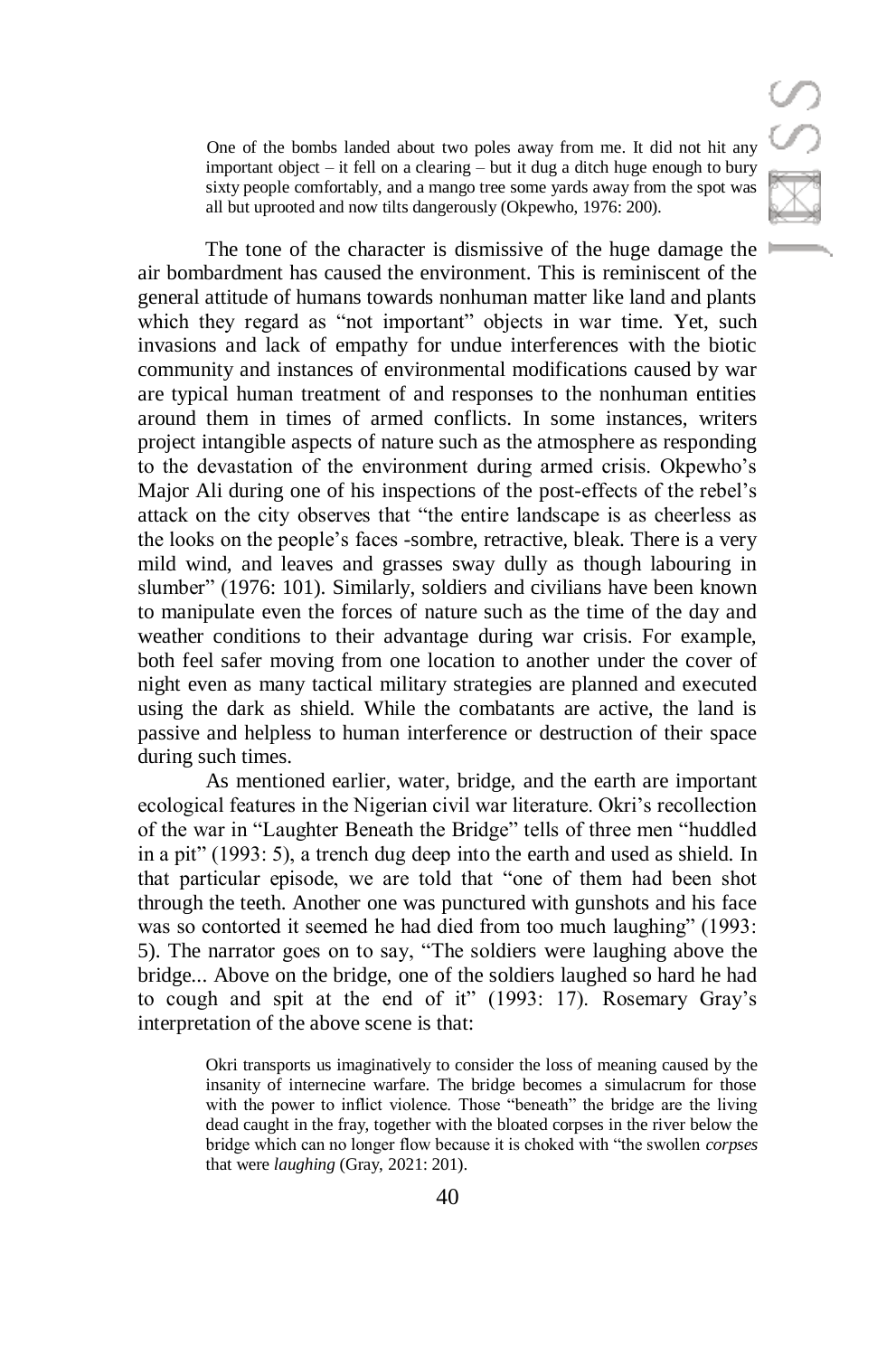One of the bombs landed about two poles away from me. It did not hit any important object – it fell on a clearing – but it dug a ditch huge enough to bury sixty people comfortably, and a mango tree some yards away from the spot was all but uprooted and now tilts dangerously (Okpewho, 1976: 200).

The tone of the character is dismissive of the huge damage the air bombardment has caused the environment. This is reminiscent of the general attitude of humans towards nonhuman matter like land and plants which they regard as "not important" objects in war time. Yet, such invasions and lack of empathy for undue interferences with the biotic community and instances of environmental modifications caused by war are typical human treatment of and responses to the nonhuman entities around them in times of armed conflicts. In some instances, writers project intangible aspects of nature such as the atmosphere as responding to the devastation of the environment during armed crisis. Okpewho's Major Ali during one of his inspections of the post-effects of the rebel's attack on the city observes that "the entire landscape is as cheerless as the looks on the people's faces -sombre, retractive, bleak. There is a very mild wind, and leaves and grasses sway dully as though labouring in slumber" (1976: 101). Similarly, soldiers and civilians have been known to manipulate even the forces of nature such as the time of the day and weather conditions to their advantage during war crisis. For example, both feel safer moving from one location to another under the cover of night even as many tactical military strategies are planned and executed using the dark as shield. While the combatants are active, the land is passive and helpless to human interference or destruction of their space during such times.

As mentioned earlier, water, bridge, and the earth are important ecological features in the Nigerian civil war literature. Okri's recollection of the war in "Laughter Beneath the Bridge" tells of three men "huddled in a pit" (1993: 5), a trench dug deep into the earth and used as shield. In that particular episode, we are told that "one of them had been shot through the teeth. Another one was punctured with gunshots and his face was so contorted it seemed he had died from too much laughing" (1993: 5). The narrator goes on to say, "The soldiers were laughing above the bridge... Above on the bridge, one of the soldiers laughed so hard he had to cough and spit at the end of it" (1993: 17). Rosemary Gray's interpretation of the above scene is that:

> Okri transports us imaginatively to consider the loss of meaning caused by the insanity of internecine warfare. The bridge becomes a simulacrum for those with the power to inflict violence. Those "beneath" the bridge are the living dead caught in the fray, together with the bloated corpses in the river below the bridge which can no longer flow because it is choked with "the swollen *corpses* that were *laughing* (Gray, 2021: 201).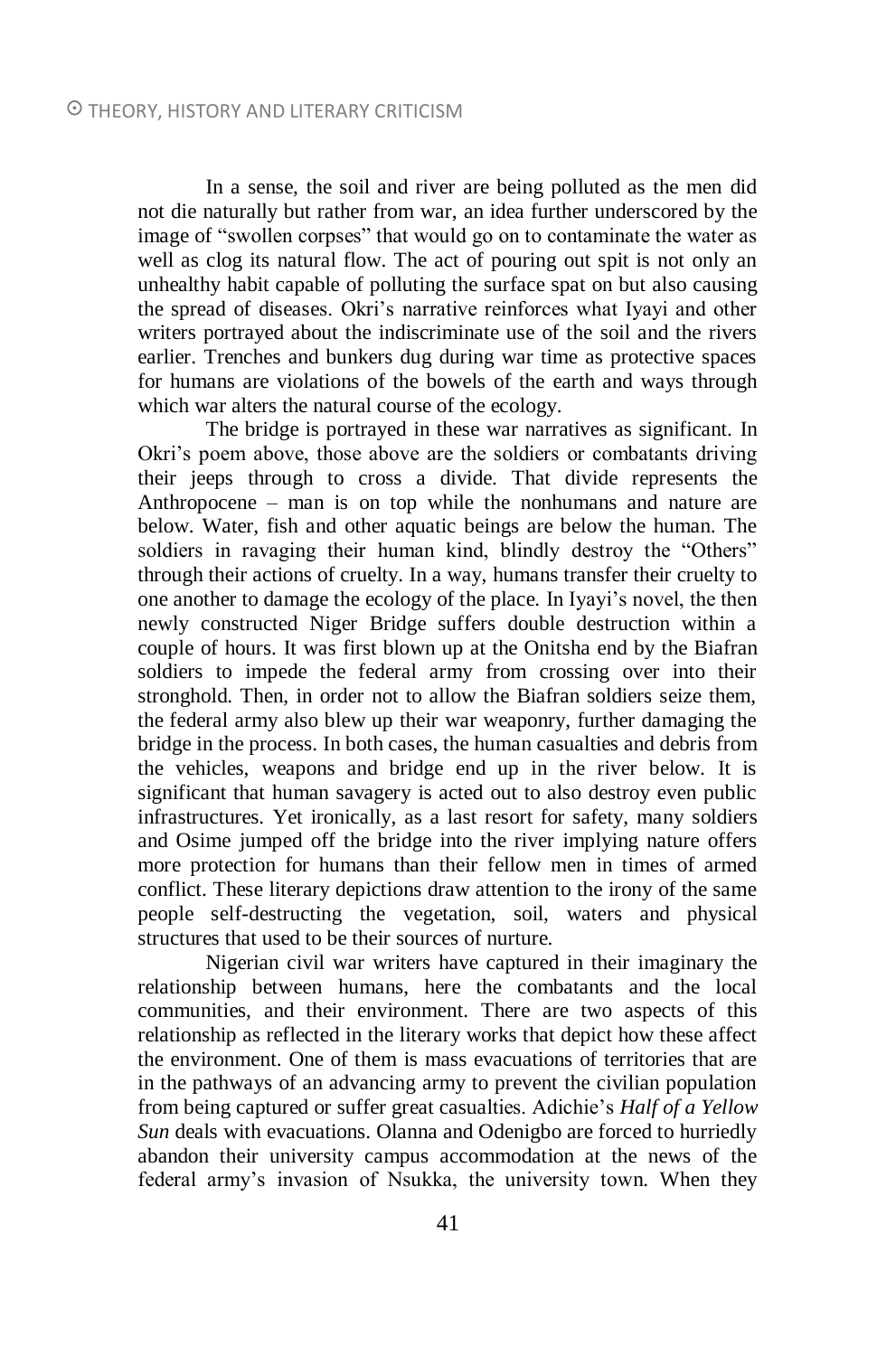In a sense, the soil and river are being polluted as the men did not die naturally but rather from war, an idea further underscored by the image of "swollen corpses" that would go on to contaminate the water as well as clog its natural flow. The act of pouring out spit is not only an unhealthy habit capable of polluting the surface spat on but also causing the spread of diseases. Okri's narrative reinforces what Iyayi and other writers portrayed about the indiscriminate use of the soil and the rivers earlier. Trenches and bunkers dug during war time as protective spaces for humans are violations of the bowels of the earth and ways through which war alters the natural course of the ecology.

The bridge is portrayed in these war narratives as significant. In Okri's poem above, those above are the soldiers or combatants driving their jeeps through to cross a divide. That divide represents the Anthropocene – man is on top while the nonhumans and nature are below. Water, fish and other aquatic beings are below the human. The soldiers in ravaging their human kind, blindly destroy the "Others" through their actions of cruelty. In a way, humans transfer their cruelty to one another to damage the ecology of the place. In Iyayi's novel, the then newly constructed Niger Bridge suffers double destruction within a couple of hours. It was first blown up at the Onitsha end by the Biafran soldiers to impede the federal army from crossing over into their stronghold. Then, in order not to allow the Biafran soldiers seize them, the federal army also blew up their war weaponry, further damaging the bridge in the process. In both cases, the human casualties and debris from the vehicles, weapons and bridge end up in the river below. It is significant that human savagery is acted out to also destroy even public infrastructures. Yet ironically, as a last resort for safety, many soldiers and Osime jumped off the bridge into the river implying nature offers more protection for humans than their fellow men in times of armed conflict. These literary depictions draw attention to the irony of the same people self-destructing the vegetation, soil, waters and physical structures that used to be their sources of nurture.

Nigerian civil war writers have captured in their imaginary the relationship between humans, here the combatants and the local communities, and their environment. There are two aspects of this relationship as reflected in the literary works that depict how these affect the environment. One of them is mass evacuations of territories that are in the pathways of an advancing army to prevent the civilian population from being captured or suffer great casualties. Adichie's *Half of a Yellow Sun* deals with evacuations. Olanna and Odenigbo are forced to hurriedly abandon their university campus accommodation at the news of the federal army's invasion of Nsukka, the university town. When they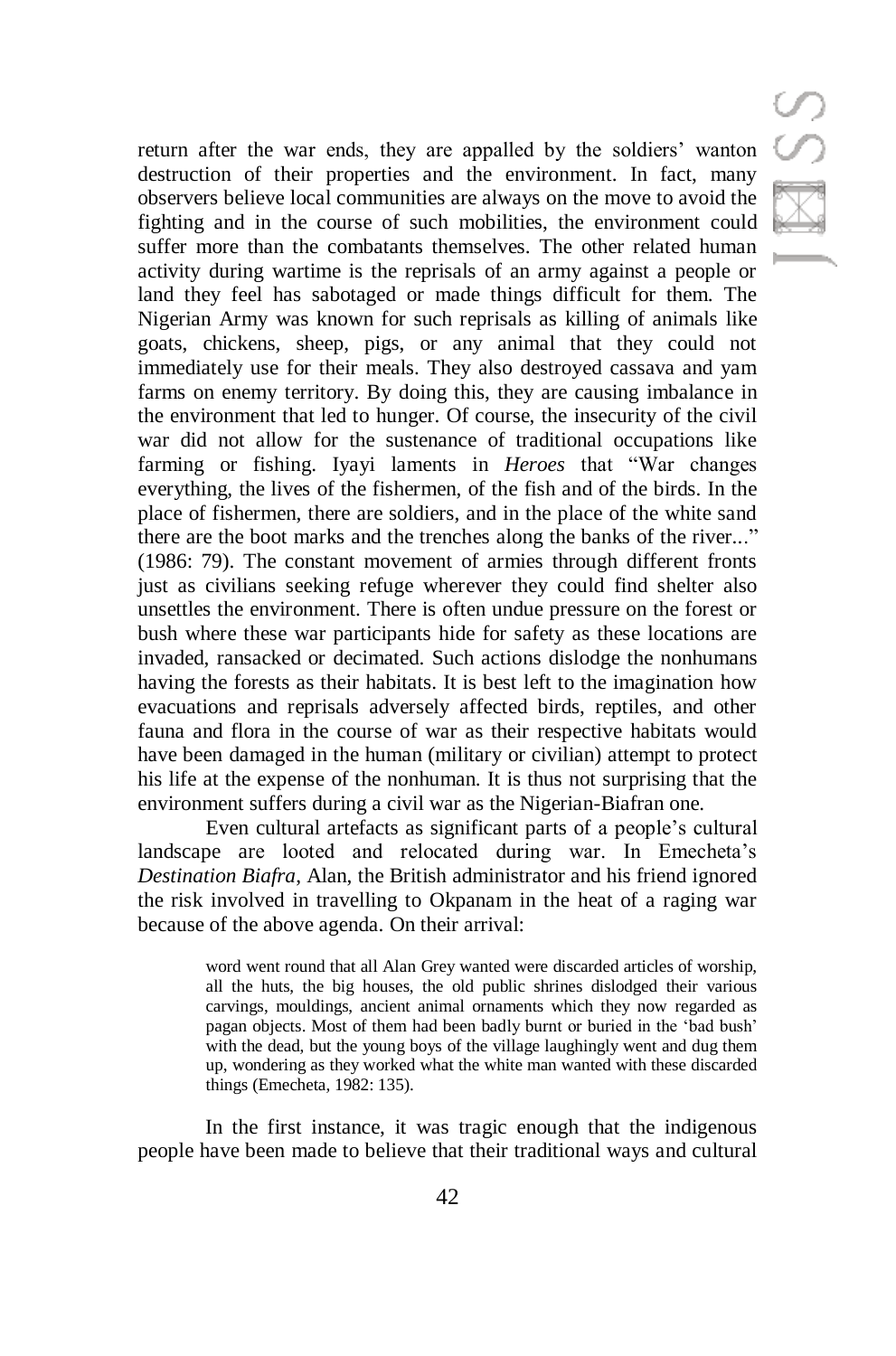return after the war ends, they are appalled by the soldiers' wanton destruction of their properties and the environment. In fact, many observers believe local communities are always on the move to avoid the fighting and in the course of such mobilities, the environment could suffer more than the combatants themselves. The other related human activity during wartime is the reprisals of an army against a people or land they feel has sabotaged or made things difficult for them. The Nigerian Army was known for such reprisals as killing of animals like goats, chickens, sheep, pigs, or any animal that they could not immediately use for their meals. They also destroyed cassava and yam farms on enemy territory. By doing this, they are causing imbalance in the environment that led to hunger. Of course, the insecurity of the civil war did not allow for the sustenance of traditional occupations like farming or fishing. Iyayi laments in *Heroes* that "War changes everything, the lives of the fishermen, of the fish and of the birds. In the place of fishermen, there are soldiers, and in the place of the white sand there are the boot marks and the trenches along the banks of the river..." (1986: 79). The constant movement of armies through different fronts just as civilians seeking refuge wherever they could find shelter also unsettles the environment. There is often undue pressure on the forest or bush where these war participants hide for safety as these locations are invaded, ransacked or decimated. Such actions dislodge the nonhumans having the forests as their habitats. It is best left to the imagination how evacuations and reprisals adversely affected birds, reptiles, and other fauna and flora in the course of war as their respective habitats would have been damaged in the human (military or civilian) attempt to protect his life at the expense of the nonhuman. It is thus not surprising that the environment suffers during a civil war as the Nigerian-Biafran one.

Even cultural artefacts as significant parts of a people's cultural landscape are looted and relocated during war. In Emecheta's *Destination Biafra*, Alan, the British administrator and his friend ignored the risk involved in travelling to Okpanam in the heat of a raging war because of the above agenda. On their arrival:

> word went round that all Alan Grey wanted were discarded articles of worship, all the huts, the big houses, the old public shrines dislodged their various carvings, mouldings, ancient animal ornaments which they now regarded as pagan objects. Most of them had been badly burnt or buried in the 'bad bush' with the dead, but the young boys of the village laughingly went and dug them up, wondering as they worked what the white man wanted with these discarded things (Emecheta, 1982: 135).

In the first instance, it was tragic enough that the indigenous people have been made to believe that their traditional ways and cultural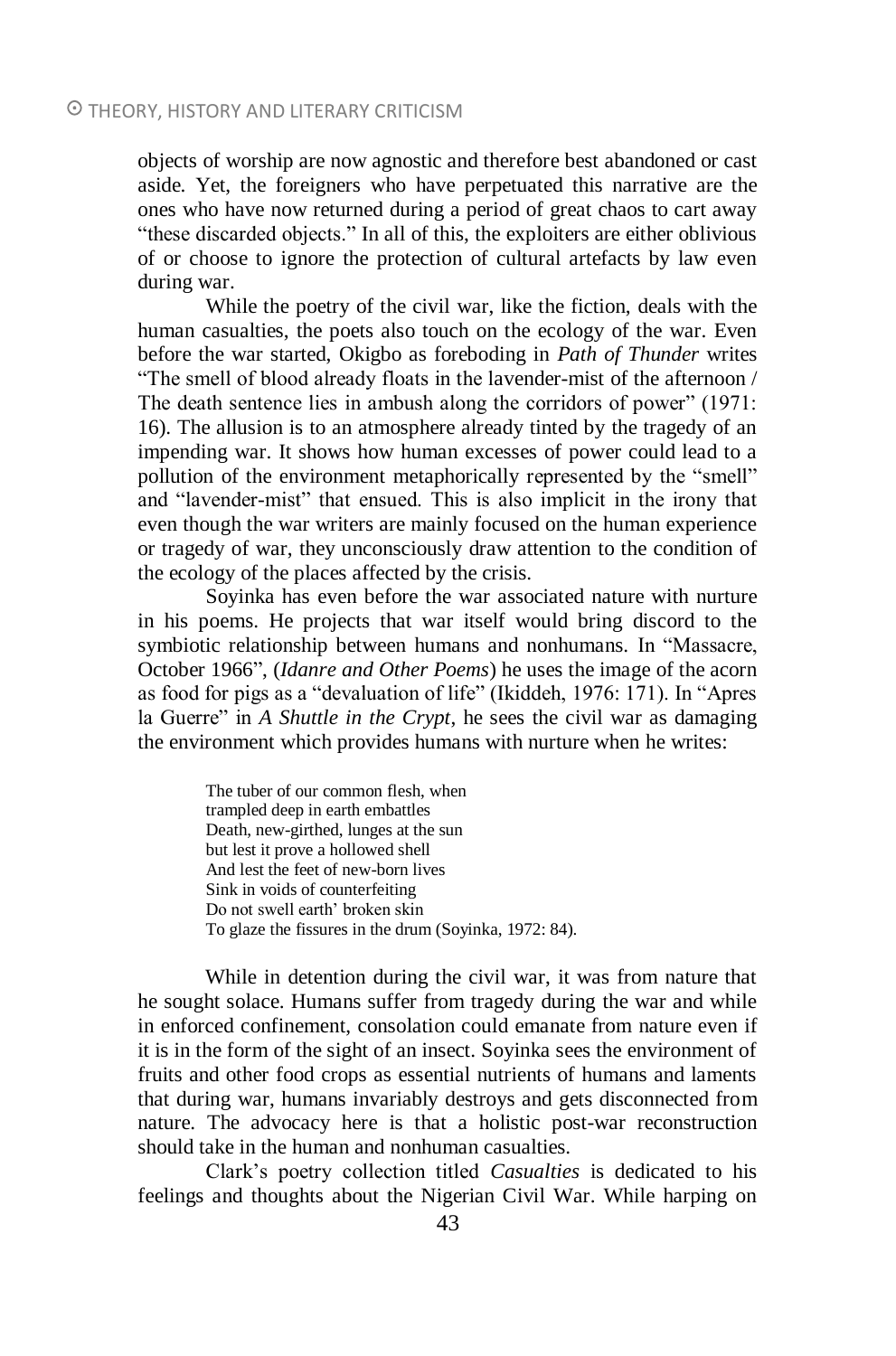objects of worship are now agnostic and therefore best abandoned or cast aside. Yet, the foreigners who have perpetuated this narrative are the ones who have now returned during a period of great chaos to cart away "these discarded objects." In all of this, the exploiters are either oblivious of or choose to ignore the protection of cultural artefacts by law even during war.

While the poetry of the civil war, like the fiction, deals with the human casualties, the poets also touch on the ecology of the war. Even before the war started, Okigbo as foreboding in *Path of Thunder* writes "The smell of blood already floats in the lavender-mist of the afternoon / The death sentence lies in ambush along the corridors of power" (1971: 16). The allusion is to an atmosphere already tinted by the tragedy of an impending war. It shows how human excesses of power could lead to a pollution of the environment metaphorically represented by the "smell" and "lavender-mist" that ensued. This is also implicit in the irony that even though the war writers are mainly focused on the human experience or tragedy of war, they unconsciously draw attention to the condition of the ecology of the places affected by the crisis.

Soyinka has even before the war associated nature with nurture in his poems. He projects that war itself would bring discord to the symbiotic relationship between humans and nonhumans. In "Massacre, October 1966", (*Idanre and Other Poems*) he uses the image of the acorn as food for pigs as a "devaluation of life" (Ikiddeh, 1976: 171). In "Apres la Guerre" in *A Shuttle in the Crypt*, he sees the civil war as damaging the environment which provides humans with nurture when he writes:

> The tuber of our common flesh, when trampled deep in earth embattles Death, new-girthed, lunges at the sun but lest it prove a hollowed shell And lest the feet of new-born lives Sink in voids of counterfeiting Do not swell earth' broken skin To glaze the fissures in the drum (Soyinka, 1972: 84).

While in detention during the civil war, it was from nature that he sought solace. Humans suffer from tragedy during the war and while in enforced confinement, consolation could emanate from nature even if it is in the form of the sight of an insect. Soyinka sees the environment of fruits and other food crops as essential nutrients of humans and laments that during war, humans invariably destroys and gets disconnected from nature. The advocacy here is that a holistic post-war reconstruction should take in the human and nonhuman casualties.

Clark's poetry collection titled *Casualties* is dedicated to his feelings and thoughts about the Nigerian Civil War. While harping on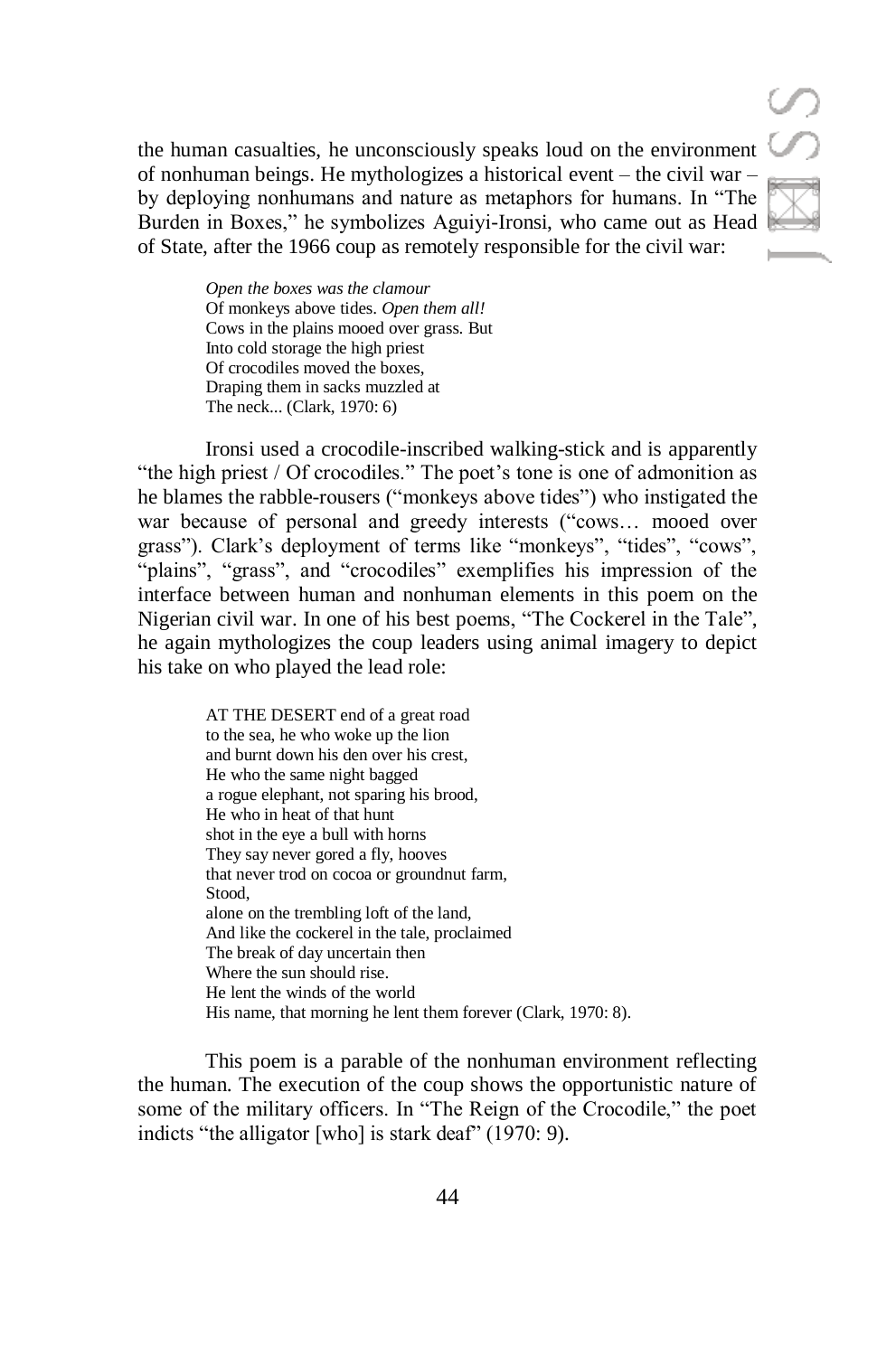the human casualties, he unconsciously speaks loud on the environment of nonhuman beings. He mythologizes a historical event – the civil war – by deploying nonhumans and nature as metaphors for humans. In "The Burden in Boxes," he symbolizes Aguiyi-Ironsi, who came out as Head of State, after the 1966 coup as remotely responsible for the civil war:

> *Open the boxes was the clamour* Of monkeys above tides. *Open them all!* Cows in the plains mooed over grass. But Into cold storage the high priest Of crocodiles moved the boxes, Draping them in sacks muzzled at The neck... (Clark, 1970: 6)

Ironsi used a crocodile-inscribed walking-stick and is apparently "the high priest / Of crocodiles." The poet's tone is one of admonition as he blames the rabble-rousers ("monkeys above tides") who instigated the war because of personal and greedy interests ("cows… mooed over grass"). Clark's deployment of terms like "monkeys", "tides", "cows", "plains", "grass", and "crocodiles" exemplifies his impression of the interface between human and nonhuman elements in this poem on the Nigerian civil war. In one of his best poems, "The Cockerel in the Tale", he again mythologizes the coup leaders using animal imagery to depict his take on who played the lead role:

> AT THE DESERT end of a great road to the sea, he who woke up the lion and burnt down his den over his crest, He who the same night bagged a rogue elephant, not sparing his brood, He who in heat of that hunt shot in the eye a bull with horns They say never gored a fly, hooves that never trod on cocoa or groundnut farm, Stood, alone on the trembling loft of the land, And like the cockerel in the tale, proclaimed The break of day uncertain then Where the sun should rise. He lent the winds of the world His name, that morning he lent them forever (Clark, 1970: 8).

This poem is a parable of the nonhuman environment reflecting the human. The execution of the coup shows the opportunistic nature of some of the military officers. In "The Reign of the Crocodile," the poet indicts "the alligator [who] is stark deaf" (1970: 9).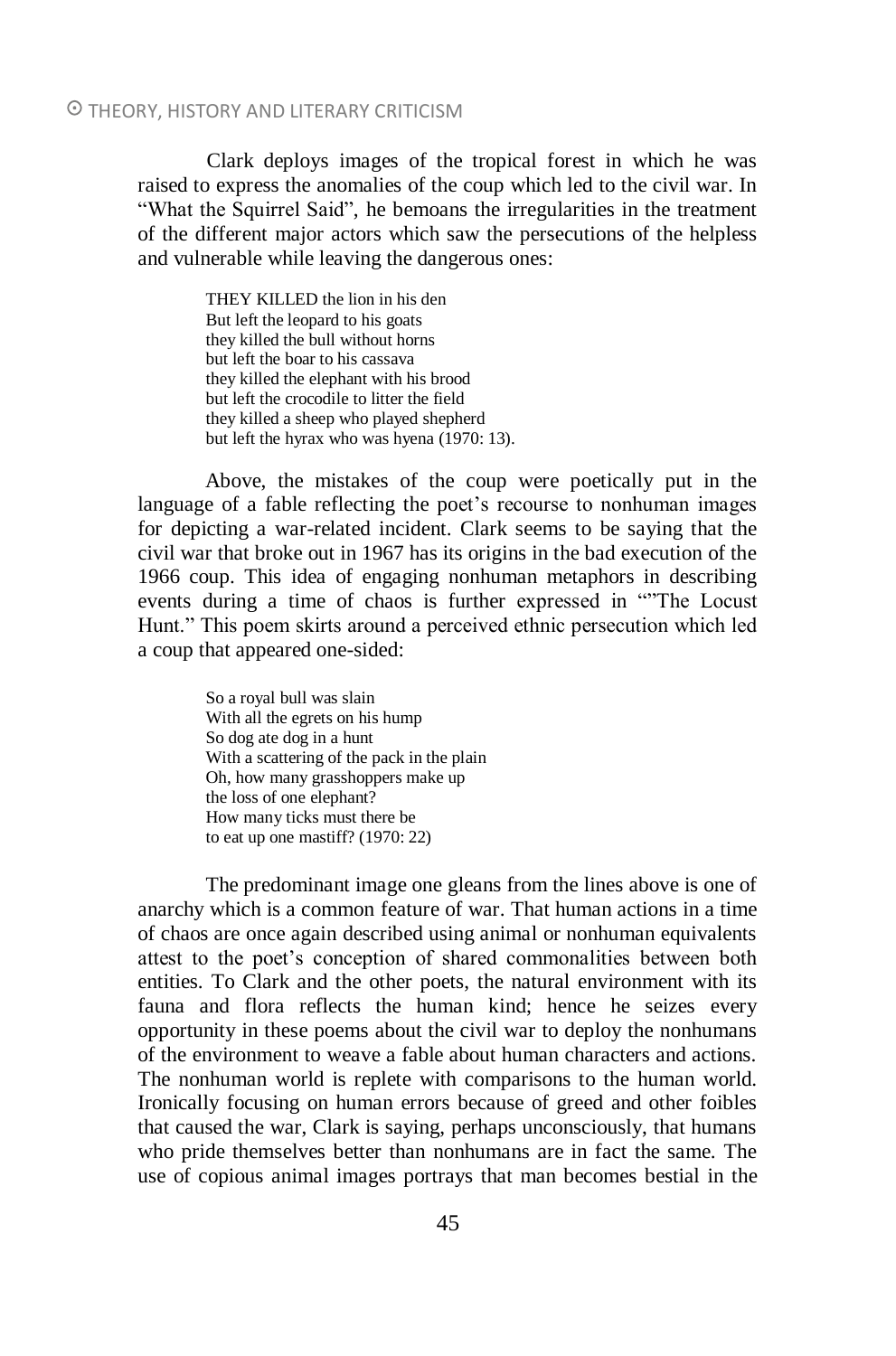Clark deploys images of the tropical forest in which he was raised to express the anomalies of the coup which led to the civil war. In "What the Squirrel Said", he bemoans the irregularities in the treatment of the different major actors which saw the persecutions of the helpless and vulnerable while leaving the dangerous ones:

> THEY KILLED the lion in his den But left the leopard to his goats they killed the bull without horns but left the boar to his cassava they killed the elephant with his brood but left the crocodile to litter the field they killed a sheep who played shepherd but left the hyrax who was hyena (1970: 13).

Above, the mistakes of the coup were poetically put in the language of a fable reflecting the poet's recourse to nonhuman images for depicting a war-related incident. Clark seems to be saying that the civil war that broke out in 1967 has its origins in the bad execution of the 1966 coup. This idea of engaging nonhuman metaphors in describing events during a time of chaos is further expressed in ""The Locust Hunt." This poem skirts around a perceived ethnic persecution which led a coup that appeared one-sided:

> So a royal bull was slain With all the egrets on his hump So dog ate dog in a hunt With a scattering of the pack in the plain Oh, how many grasshoppers make up the loss of one elephant? How many ticks must there be to eat up one mastiff? (1970: 22)

The predominant image one gleans from the lines above is one of anarchy which is a common feature of war. That human actions in a time of chaos are once again described using animal or nonhuman equivalents attest to the poet's conception of shared commonalities between both entities. To Clark and the other poets, the natural environment with its fauna and flora reflects the human kind; hence he seizes every opportunity in these poems about the civil war to deploy the nonhumans of the environment to weave a fable about human characters and actions. The nonhuman world is replete with comparisons to the human world. Ironically focusing on human errors because of greed and other foibles that caused the war, Clark is saying, perhaps unconsciously, that humans who pride themselves better than nonhumans are in fact the same. The use of copious animal images portrays that man becomes bestial in the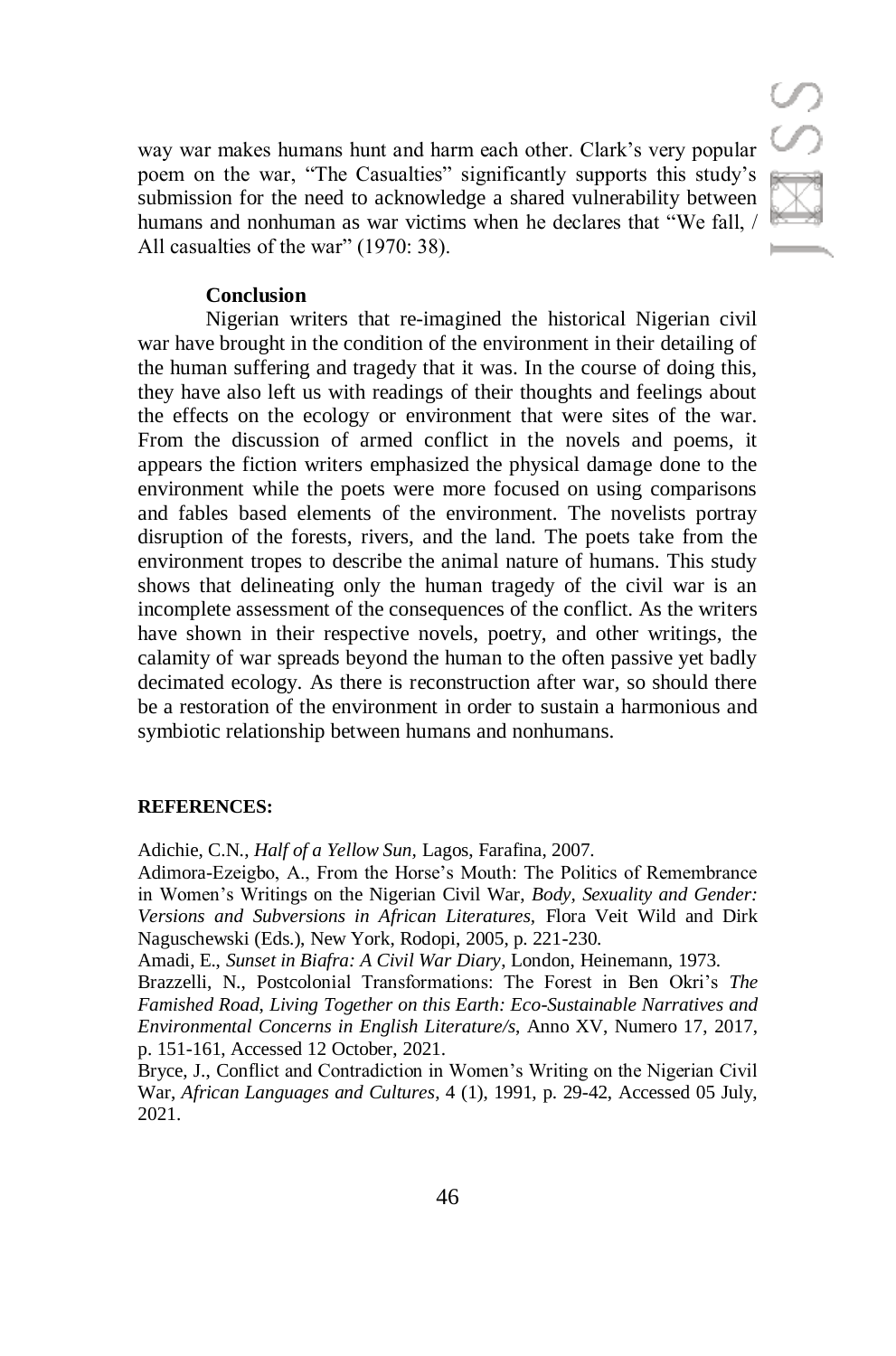way war makes humans hunt and harm each other. Clark's very popular poem on the war, "The Casualties" significantly supports this study's submission for the need to acknowledge a shared vulnerability between humans and nonhuman as war victims when he declares that "We fall, / All casualties of the war" (1970: 38).

### **Conclusion**

Nigerian writers that re-imagined the historical Nigerian civil war have brought in the condition of the environment in their detailing of the human suffering and tragedy that it was. In the course of doing this, they have also left us with readings of their thoughts and feelings about the effects on the ecology or environment that were sites of the war. From the discussion of armed conflict in the novels and poems, it appears the fiction writers emphasized the physical damage done to the environment while the poets were more focused on using comparisons and fables based elements of the environment. The novelists portray disruption of the forests, rivers, and the land. The poets take from the environment tropes to describe the animal nature of humans. This study shows that delineating only the human tragedy of the civil war is an incomplete assessment of the consequences of the conflict. As the writers have shown in their respective novels, poetry, and other writings, the calamity of war spreads beyond the human to the often passive yet badly decimated ecology. As there is reconstruction after war, so should there be a restoration of the environment in order to sustain a harmonious and symbiotic relationship between humans and nonhumans.

### **REFERENCES:**

Adichie, C.N., *Half of a Yellow Sun,* Lagos, Farafina, 2007.

Adimora-Ezeigbo, A., From the Horse's Mouth: The Politics of Remembrance in Women's Writings on the Nigerian Civil War, *Body, Sexuality and Gender: Versions and Subversions in African Literatures,* Flora Veit Wild and Dirk Naguschewski (Eds.), New York, Rodopi, 2005, p. 221-230.

Amadi, E., *Sunset in Biafra: A Civil War Diary*, London, Heinemann, 1973.

Brazzelli, N., Postcolonial Transformations: The Forest in Ben Okri's *The Famished Road*, *Living Together on this Earth: Eco-Sustainable Narratives and Environmental Concerns in English Literature/s*, Anno XV, Numero 17, 2017, p. 151-161, Accessed 12 October, 2021.

Bryce, J., Conflict and Contradiction in Women's Writing on the Nigerian Civil War, *African Languages and Cultures*, 4 (1), 1991, p. 29-42, Accessed 05 July, 2021.